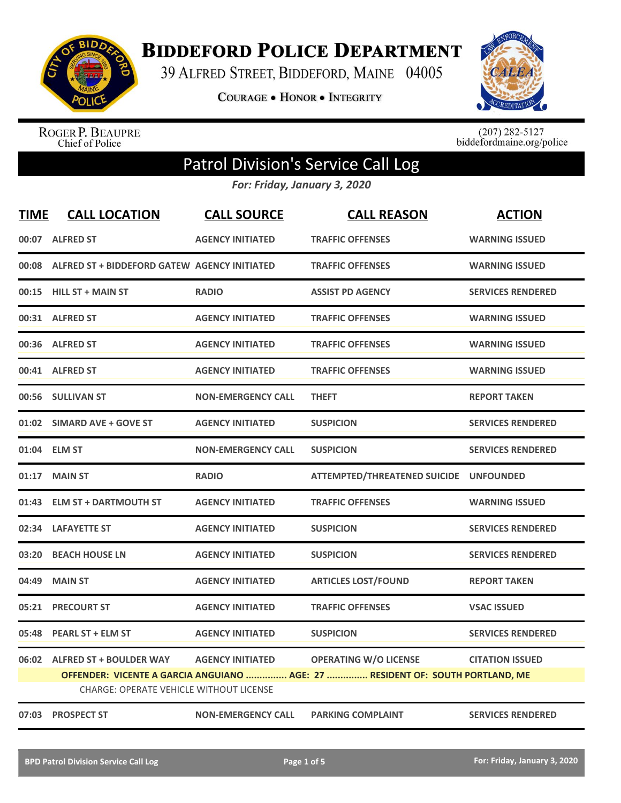

**BIDDEFORD POLICE DEPARTMENT** 

39 ALFRED STREET, BIDDEFORD, MAINE 04005

**COURAGE . HONOR . INTEGRITY** 



ROGER P. BEAUPRE<br>Chief of Police

 $(207)$  282-5127<br>biddefordmaine.org/police

# Patrol Division's Service Call Log

*For: Friday, January 3, 2020*

| <b>TIME</b> | <b>CALL LOCATION</b>                               | <b>CALL SOURCE</b>        | <b>CALL REASON</b>                                                                                            | <b>ACTION</b>            |
|-------------|----------------------------------------------------|---------------------------|---------------------------------------------------------------------------------------------------------------|--------------------------|
|             | 00:07 ALFRED ST                                    | <b>AGENCY INITIATED</b>   | <b>TRAFFIC OFFENSES</b>                                                                                       | <b>WARNING ISSUED</b>    |
|             | 00:08 ALFRED ST + BIDDEFORD GATEW AGENCY INITIATED |                           | <b>TRAFFIC OFFENSES</b>                                                                                       | <b>WARNING ISSUED</b>    |
|             | 00:15 HILL ST + MAIN ST                            | <b>RADIO</b>              | <b>ASSIST PD AGENCY</b>                                                                                       | <b>SERVICES RENDERED</b> |
|             | 00:31 ALFRED ST                                    | <b>AGENCY INITIATED</b>   | <b>TRAFFIC OFFENSES</b>                                                                                       | <b>WARNING ISSUED</b>    |
|             | 00:36 ALFRED ST                                    | <b>AGENCY INITIATED</b>   | <b>TRAFFIC OFFENSES</b>                                                                                       | <b>WARNING ISSUED</b>    |
|             | 00:41 ALFRED ST                                    | <b>AGENCY INITIATED</b>   | <b>TRAFFIC OFFENSES</b>                                                                                       | <b>WARNING ISSUED</b>    |
|             | 00:56 SULLIVAN ST                                  | <b>NON-EMERGENCY CALL</b> | <b>THEFT</b>                                                                                                  | <b>REPORT TAKEN</b>      |
|             | 01:02 SIMARD AVE + GOVE ST                         | <b>AGENCY INITIATED</b>   | <b>SUSPICION</b>                                                                                              | <b>SERVICES RENDERED</b> |
|             | 01:04 ELM ST                                       | <b>NON-EMERGENCY CALL</b> | <b>SUSPICION</b>                                                                                              | <b>SERVICES RENDERED</b> |
|             | 01:17 MAIN ST                                      | <b>RADIO</b>              | ATTEMPTED/THREATENED SUICIDE UNFOUNDED                                                                        |                          |
|             | 01:43 ELM ST + DARTMOUTH ST                        | <b>AGENCY INITIATED</b>   | <b>TRAFFIC OFFENSES</b>                                                                                       | <b>WARNING ISSUED</b>    |
|             | 02:34 LAFAYETTE ST                                 | <b>AGENCY INITIATED</b>   | <b>SUSPICION</b>                                                                                              | <b>SERVICES RENDERED</b> |
|             | 03:20 BEACH HOUSE LN                               | <b>AGENCY INITIATED</b>   | <b>SUSPICION</b>                                                                                              | <b>SERVICES RENDERED</b> |
| 04:49       | <b>MAIN ST</b>                                     | <b>AGENCY INITIATED</b>   | <b>ARTICLES LOST/FOUND</b>                                                                                    | <b>REPORT TAKEN</b>      |
| 05:21       | <b>PRECOURT ST</b>                                 | <b>AGENCY INITIATED</b>   | <b>TRAFFIC OFFENSES</b>                                                                                       | <b>VSAC ISSUED</b>       |
| 05:48       | <b>PEARL ST + ELM ST</b>                           | <b>AGENCY INITIATED</b>   | <b>SUSPICION</b>                                                                                              | <b>SERVICES RENDERED</b> |
|             | 06:02 ALFRED ST + BOULDER WAY                      | <b>AGENCY INITIATED</b>   | <b>OPERATING W/O LICENSE</b><br>OFFENDER: VICENTE A GARCIA ANGUIANO  AGE: 27  RESIDENT OF: SOUTH PORTLAND, ME | <b>CITATION ISSUED</b>   |
|             | <b>CHARGE: OPERATE VEHICLE WITHOUT LICENSE</b>     |                           |                                                                                                               |                          |
|             | 07:03 PROSPECT ST                                  | <b>NON-EMERGENCY CALL</b> | <b>PARKING COMPLAINT</b>                                                                                      | <b>SERVICES RENDERED</b> |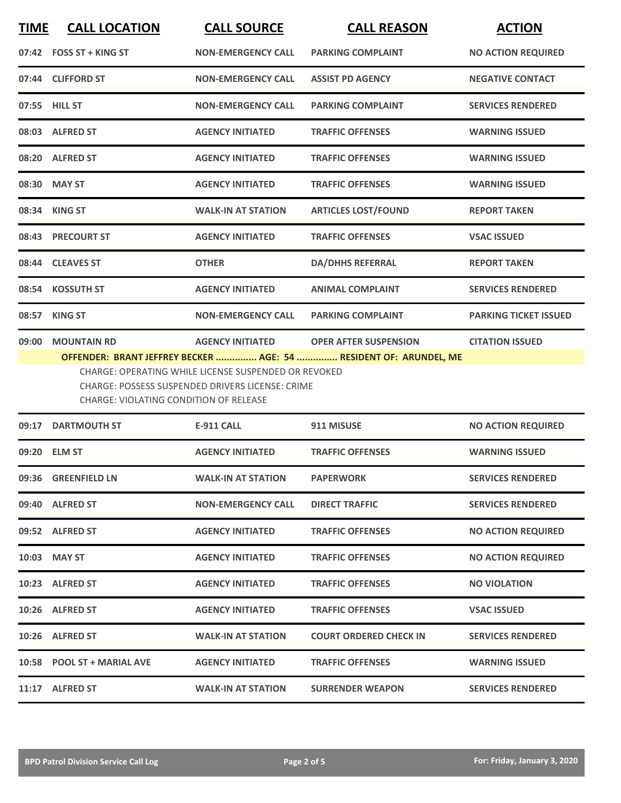| <b>TIME</b> | <b>CALL LOCATION</b>                   | <b>CALL SOURCE</b>                                                                                              | <b>CALL REASON</b>                                                | <b>ACTION</b>                |
|-------------|----------------------------------------|-----------------------------------------------------------------------------------------------------------------|-------------------------------------------------------------------|------------------------------|
|             | 07:42 FOSS ST + KING ST                | <b>NON-EMERGENCY CALL</b>                                                                                       | <b>PARKING COMPLAINT</b>                                          | <b>NO ACTION REQUIRED</b>    |
|             | 07:44 CLIFFORD ST                      | <b>NON-EMERGENCY CALL</b>                                                                                       | <b>ASSIST PD AGENCY</b>                                           | <b>NEGATIVE CONTACT</b>      |
|             | 07:55 HILL ST                          | <b>NON-EMERGENCY CALL</b>                                                                                       | <b>PARKING COMPLAINT</b>                                          | <b>SERVICES RENDERED</b>     |
|             | 08:03 ALFRED ST                        | <b>AGENCY INITIATED</b>                                                                                         | <b>TRAFFIC OFFENSES</b>                                           | <b>WARNING ISSUED</b>        |
| 08:20       | <b>ALFRED ST</b>                       | <b>AGENCY INITIATED</b>                                                                                         | <b>TRAFFIC OFFENSES</b>                                           | <b>WARNING ISSUED</b>        |
| 08:30       | <b>MAY ST</b>                          | <b>AGENCY INITIATED</b>                                                                                         | <b>TRAFFIC OFFENSES</b>                                           | <b>WARNING ISSUED</b>        |
|             | 08:34 KING ST                          | <b>WALK-IN AT STATION</b>                                                                                       | <b>ARTICLES LOST/FOUND</b>                                        | <b>REPORT TAKEN</b>          |
|             | 08:43 PRECOURT ST                      | <b>AGENCY INITIATED</b>                                                                                         | <b>TRAFFIC OFFENSES</b>                                           | <b>VSAC ISSUED</b>           |
| 08:44       | <b>CLEAVES ST</b>                      | <b>OTHER</b>                                                                                                    | <b>DA/DHHS REFERRAL</b>                                           | <b>REPORT TAKEN</b>          |
| 08:54       | <b>KOSSUTH ST</b>                      | <b>AGENCY INITIATED</b>                                                                                         | <b>ANIMAL COMPLAINT</b>                                           | <b>SERVICES RENDERED</b>     |
| 08:57       | <b>KING ST</b>                         | <b>NON-EMERGENCY CALL</b>                                                                                       | <b>PARKING COMPLAINT</b>                                          | <b>PARKING TICKET ISSUED</b> |
| 09:00       | <b>MOUNTAIN RD</b>                     | <b>AGENCY INITIATED</b>                                                                                         | <b>OPER AFTER SUSPENSION</b>                                      | <b>CITATION ISSUED</b>       |
|             | CHARGE: VIOLATING CONDITION OF RELEASE | CHARGE: OPERATING WHILE LICENSE SUSPENDED OR REVOKED<br><b>CHARGE: POSSESS SUSPENDED DRIVERS LICENSE: CRIME</b> | OFFENDER: BRANT JEFFREY BECKER  AGE: 54  RESIDENT OF: ARUNDEL, ME |                              |
| 09:17       | <b>DARTMOUTH ST</b>                    | <b>E-911 CALL</b>                                                                                               | 911 MISUSE                                                        | <b>NO ACTION REQUIRED</b>    |
|             | 09:20 ELM ST                           | <b>AGENCY INITIATED</b>                                                                                         | <b>TRAFFIC OFFENSES</b>                                           | <b>WARNING ISSUED</b>        |
|             | 09:36 GREENFIELD LN                    | <b>WALK-IN AT STATION</b>                                                                                       | <b>PAPERWORK</b>                                                  | <b>SERVICES RENDERED</b>     |
|             | 09:40 ALFRED ST                        | <b>NON-EMERGENCY CALL</b>                                                                                       | <b>DIRECT TRAFFIC</b>                                             | <b>SERVICES RENDERED</b>     |
|             | 09:52 ALFRED ST                        | <b>AGENCY INITIATED</b>                                                                                         | <b>TRAFFIC OFFENSES</b>                                           | <b>NO ACTION REQUIRED</b>    |
|             | 10:03 MAY ST                           | <b>AGENCY INITIATED</b>                                                                                         | <b>TRAFFIC OFFENSES</b>                                           | <b>NO ACTION REQUIRED</b>    |

**10:23 ALFRED ST AGENCY INITIATED TRAFFIC OFFENSES NO VIOLATION**

**10:26 ALFRED ST AGENCY INITIATED TRAFFIC OFFENSES VSAC ISSUED**

**10:26 ALFRED ST WALK-IN AT STATION COURT ORDERED CHECK IN SERVICES RENDERED**

**10:58 POOL ST + MARIAL AVE AGENCY INITIATED TRAFFIC OFFENSES WARNING ISSUED**

**11:17 ALFRED ST WALK-IN AT STATION SURRENDER WEAPON SERVICES RENDERED**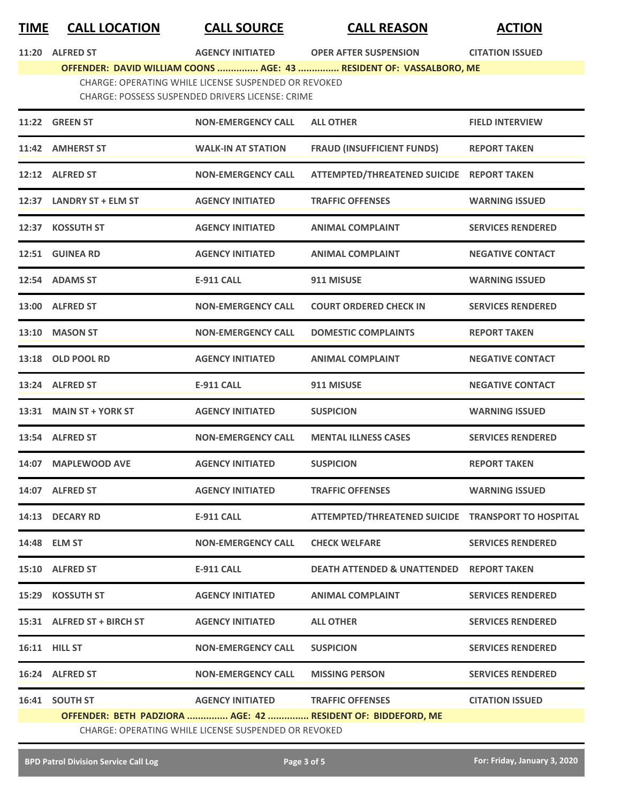### **TIME CALL LOCATION CALL SOURCE CALL REASON ACTION**

**11:20 ALFRED ST AGENCY INITIATED OPER AFTER SUSPENSION CITATION ISSUED**

## **OFFENDER: DAVID WILLIAM COONS ............... AGE: 43 ............... RESIDENT OF: VASSALBORO, ME**

CHARGE: OPERATING WHILE LICENSE SUSPENDED OR REVOKED CHARGE: POSSESS SUSPENDED DRIVERS LICENSE: CRIME

|       | 11:22 GREEN ST                                       | <b>NON-EMERGENCY CALL</b> | <b>ALL OTHER</b>                                             | <b>FIELD INTERVIEW</b>   |  |  |
|-------|------------------------------------------------------|---------------------------|--------------------------------------------------------------|--------------------------|--|--|
|       | 11:42 AMHERST ST                                     | <b>WALK-IN AT STATION</b> | <b>FRAUD (INSUFFICIENT FUNDS)</b>                            | <b>REPORT TAKEN</b>      |  |  |
|       | 12:12 ALFRED ST                                      | <b>NON-EMERGENCY CALL</b> | ATTEMPTED/THREATENED SUICIDE REPORT TAKEN                    |                          |  |  |
| 12:37 | <b>LANDRY ST + ELM ST</b>                            | <b>AGENCY INITIATED</b>   | <b>TRAFFIC OFFENSES</b>                                      | <b>WARNING ISSUED</b>    |  |  |
| 12:37 | <b>KOSSUTH ST</b>                                    | <b>AGENCY INITIATED</b>   | <b>ANIMAL COMPLAINT</b>                                      | <b>SERVICES RENDERED</b> |  |  |
| 12:51 | <b>GUINEA RD</b>                                     | <b>AGENCY INITIATED</b>   | <b>ANIMAL COMPLAINT</b>                                      | <b>NEGATIVE CONTACT</b>  |  |  |
|       | 12:54 ADAMS ST                                       | <b>E-911 CALL</b>         | 911 MISUSE                                                   | <b>WARNING ISSUED</b>    |  |  |
|       | 13:00 ALFRED ST                                      | <b>NON-EMERGENCY CALL</b> | <b>COURT ORDERED CHECK IN</b>                                | <b>SERVICES RENDERED</b> |  |  |
| 13:10 | <b>MASON ST</b>                                      | <b>NON-EMERGENCY CALL</b> | <b>DOMESTIC COMPLAINTS</b>                                   | <b>REPORT TAKEN</b>      |  |  |
| 13:18 | <b>OLD POOL RD</b>                                   | <b>AGENCY INITIATED</b>   | <b>ANIMAL COMPLAINT</b>                                      | <b>NEGATIVE CONTACT</b>  |  |  |
| 13:24 | <b>ALFRED ST</b>                                     | <b>E-911 CALL</b>         | 911 MISUSE                                                   | <b>NEGATIVE CONTACT</b>  |  |  |
| 13:31 | <b>MAIN ST + YORK ST</b>                             | <b>AGENCY INITIATED</b>   | <b>SUSPICION</b>                                             | <b>WARNING ISSUED</b>    |  |  |
| 13:54 | <b>ALFRED ST</b>                                     | <b>NON-EMERGENCY CALL</b> | <b>MENTAL ILLNESS CASES</b>                                  | <b>SERVICES RENDERED</b> |  |  |
| 14:07 | <b>MAPLEWOOD AVE</b>                                 | <b>AGENCY INITIATED</b>   | <b>SUSPICION</b>                                             | <b>REPORT TAKEN</b>      |  |  |
| 14:07 | <b>ALFRED ST</b>                                     | <b>AGENCY INITIATED</b>   | <b>TRAFFIC OFFENSES</b>                                      | <b>WARNING ISSUED</b>    |  |  |
| 14:13 | <b>DECARY RD</b>                                     | <b>E-911 CALL</b>         | ATTEMPTED/THREATENED SUICIDE TRANSPORT TO HOSPITAL           |                          |  |  |
| 14:48 | <b>ELM ST</b>                                        | <b>NON-EMERGENCY CALL</b> | <b>CHECK WELFARE</b>                                         | <b>SERVICES RENDERED</b> |  |  |
|       | 15:10 ALFRED ST                                      | <b>E-911 CALL</b>         | <b>DEATH ATTENDED &amp; UNATTENDED REPORT TAKEN</b>          |                          |  |  |
|       | 15:29 KOSSUTH ST                                     | <b>AGENCY INITIATED</b>   | <b>ANIMAL COMPLAINT</b>                                      | <b>SERVICES RENDERED</b> |  |  |
|       | 15:31 ALFRED ST + BIRCH ST                           | <b>AGENCY INITIATED</b>   | <b>ALL OTHER</b>                                             | <b>SERVICES RENDERED</b> |  |  |
|       | <b>16:11 HILL ST</b>                                 | <b>NON-EMERGENCY CALL</b> | <b>SUSPICION</b>                                             | <b>SERVICES RENDERED</b> |  |  |
|       | 16:24 ALFRED ST                                      | <b>NON-EMERGENCY CALL</b> | <b>MISSING PERSON</b>                                        | <b>SERVICES RENDERED</b> |  |  |
|       | 16:41 SOUTH ST                                       | <b>AGENCY INITIATED</b>   | <b>TRAFFIC OFFENSES</b>                                      | <b>CITATION ISSUED</b>   |  |  |
|       |                                                      |                           | OFFENDER: BETH PADZIORA  AGE: 42  RESIDENT OF: BIDDEFORD, ME |                          |  |  |
|       | CHARGE: OPERATING WHILE LICENSE SUSPENDED OR REVOKED |                           |                                                              |                          |  |  |
|       |                                                      |                           |                                                              |                          |  |  |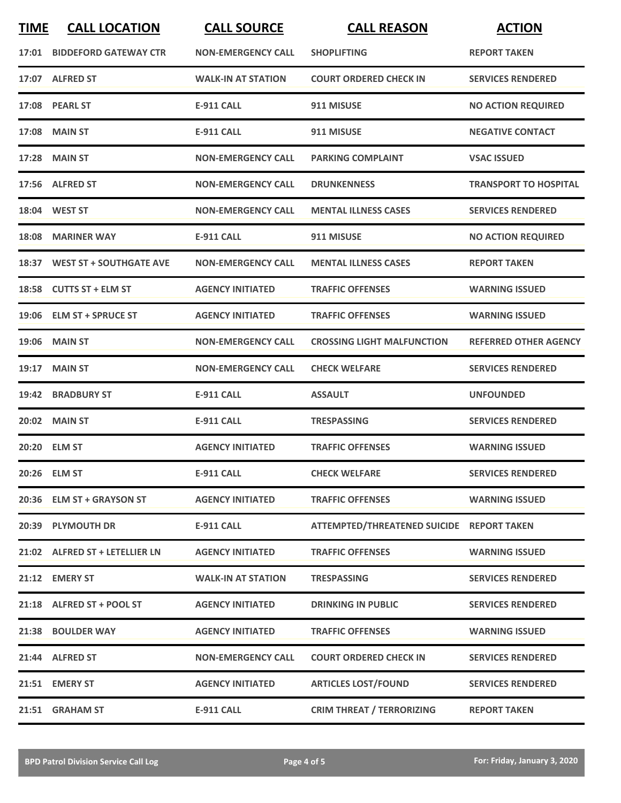| <b>TIME</b> | <b>CALL LOCATION</b>           | <b>CALL SOURCE</b>        | <b>CALL REASON</b>                        | <b>ACTION</b>                |
|-------------|--------------------------------|---------------------------|-------------------------------------------|------------------------------|
|             | 17:01 BIDDEFORD GATEWAY CTR    | <b>NON-EMERGENCY CALL</b> | <b>SHOPLIFTING</b>                        | <b>REPORT TAKEN</b>          |
|             | 17:07 ALFRED ST                | <b>WALK-IN AT STATION</b> | <b>COURT ORDERED CHECK IN</b>             | <b>SERVICES RENDERED</b>     |
|             | 17:08 PEARL ST                 | <b>E-911 CALL</b>         | 911 MISUSE                                | <b>NO ACTION REQUIRED</b>    |
|             | 17:08 MAIN ST                  | <b>E-911 CALL</b>         | 911 MISUSE                                | <b>NEGATIVE CONTACT</b>      |
|             | 17:28 MAIN ST                  | <b>NON-EMERGENCY CALL</b> | <b>PARKING COMPLAINT</b>                  | <b>VSAC ISSUED</b>           |
|             | 17:56 ALFRED ST                | <b>NON-EMERGENCY CALL</b> | <b>DRUNKENNESS</b>                        | <b>TRANSPORT TO HOSPITAL</b> |
|             | 18:04 WEST ST                  | <b>NON-EMERGENCY CALL</b> | <b>MENTAL ILLNESS CASES</b>               | <b>SERVICES RENDERED</b>     |
|             | 18:08 MARINER WAY              | <b>E-911 CALL</b>         | 911 MISUSE                                | <b>NO ACTION REQUIRED</b>    |
|             | 18:37 WEST ST + SOUTHGATE AVE  | <b>NON-EMERGENCY CALL</b> | <b>MENTAL ILLNESS CASES</b>               | <b>REPORT TAKEN</b>          |
|             | 18:58 CUTTS ST + ELM ST        | <b>AGENCY INITIATED</b>   | <b>TRAFFIC OFFENSES</b>                   | <b>WARNING ISSUED</b>        |
|             | 19:06 ELM ST + SPRUCE ST       | <b>AGENCY INITIATED</b>   | <b>TRAFFIC OFFENSES</b>                   | <b>WARNING ISSUED</b>        |
| 19:06       | <b>MAIN ST</b>                 | <b>NON-EMERGENCY CALL</b> | <b>CROSSING LIGHT MALFUNCTION</b>         | <b>REFERRED OTHER AGENCY</b> |
| 19:17       | <b>MAIN ST</b>                 | <b>NON-EMERGENCY CALL</b> | <b>CHECK WELFARE</b>                      | <b>SERVICES RENDERED</b>     |
|             | 19:42 BRADBURY ST              | <b>E-911 CALL</b>         | <b>ASSAULT</b>                            | <b>UNFOUNDED</b>             |
|             | 20:02 MAIN ST                  | <b>E-911 CALL</b>         | <b>TRESPASSING</b>                        | <b>SERVICES RENDERED</b>     |
|             | 20:20 ELM ST                   | <b>AGENCY INITIATED</b>   | <b>TRAFFIC OFFENSES</b>                   | <b>WARNING ISSUED</b>        |
|             | 20:26 ELM ST                   | <b>E-911 CALL</b>         | <b>CHECK WELFARE</b>                      | <b>SERVICES RENDERED</b>     |
|             | 20:36 ELM ST + GRAYSON ST      | <b>AGENCY INITIATED</b>   | <b>TRAFFIC OFFENSES</b>                   | <b>WARNING ISSUED</b>        |
|             | 20:39 PLYMOUTH DR              | E-911 CALL                | ATTEMPTED/THREATENED SUICIDE REPORT TAKEN |                              |
|             | 21:02 ALFRED ST + LETELLIER LN | <b>AGENCY INITIATED</b>   | <b>TRAFFIC OFFENSES</b>                   | <b>WARNING ISSUED</b>        |
|             | 21:12 EMERY ST                 | <b>WALK-IN AT STATION</b> | <b>TRESPASSING</b>                        | <b>SERVICES RENDERED</b>     |
|             | 21:18 ALFRED ST + POOL ST      | <b>AGENCY INITIATED</b>   | <b>DRINKING IN PUBLIC</b>                 | <b>SERVICES RENDERED</b>     |
|             | 21:38 BOULDER WAY              | <b>AGENCY INITIATED</b>   | <b>TRAFFIC OFFENSES</b>                   | <b>WARNING ISSUED</b>        |
|             | 21:44 ALFRED ST                | <b>NON-EMERGENCY CALL</b> | <b>COURT ORDERED CHECK IN</b>             | <b>SERVICES RENDERED</b>     |
|             | 21:51 EMERY ST                 | <b>AGENCY INITIATED</b>   | <b>ARTICLES LOST/FOUND</b>                | <b>SERVICES RENDERED</b>     |
|             | 21:51 GRAHAM ST                | E-911 CALL                | <b>CRIM THREAT / TERRORIZING</b>          | <b>REPORT TAKEN</b>          |